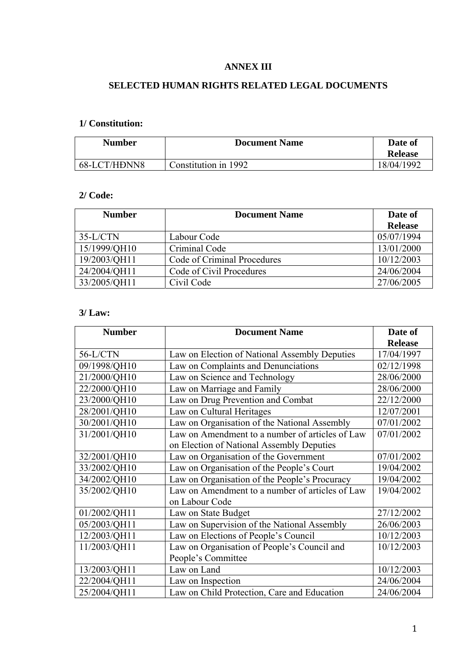#### **ANNEX III**

## **SELECTED HUMAN RIGHTS RELATED LEGAL DOCUMENTS**

# **1/ Constitution:**

| <b>Number</b> | <b>Document Name</b> | Date of        |
|---------------|----------------------|----------------|
|               |                      | <b>Release</b> |
| 68-LCT/HDNN8  | Constitution in 1992 | 18/04/1992     |

#### **2/ Code:**

| <b>Number</b> | <b>Document Name</b>        | Date of        |
|---------------|-----------------------------|----------------|
|               |                             | <b>Release</b> |
| $35-L/CTN$    | Labour Code                 | 05/07/1994     |
| 15/1999/QH10  | Criminal Code               | 13/01/2000     |
| 19/2003/QH11  | Code of Criminal Procedures | 10/12/2003     |
| 24/2004/QH11  | Code of Civil Procedures    | 24/06/2004     |
| 33/2005/QH11  | Civil Code                  | 27/06/2005     |

### **3/ Law:**

| <b>Number</b> | <b>Document Name</b>                            | Date of        |
|---------------|-------------------------------------------------|----------------|
|               |                                                 | <b>Release</b> |
| 56-L/CTN      | Law on Election of National Assembly Deputies   | 17/04/1997     |
| 09/1998/QH10  | Law on Complaints and Denunciations             | 02/12/1998     |
| 21/2000/QH10  | Law on Science and Technology                   | 28/06/2000     |
| 22/2000/QH10  | Law on Marriage and Family                      | 28/06/2000     |
| 23/2000/QH10  | Law on Drug Prevention and Combat               | 22/12/2000     |
| 28/2001/OH10  | Law on Cultural Heritages                       | 12/07/2001     |
| 30/2001/QH10  | Law on Organisation of the National Assembly    | 07/01/2002     |
| 31/2001/QH10  | Law on Amendment to a number of articles of Law | 07/01/2002     |
|               | on Election of National Assembly Deputies       |                |
| 32/2001/QH10  | Law on Organisation of the Government           | 07/01/2002     |
| 33/2002/QH10  | Law on Organisation of the People's Court       | 19/04/2002     |
| 34/2002/QH10  | Law on Organisation of the People's Procuracy   | 19/04/2002     |
| 35/2002/QH10  | Law on Amendment to a number of articles of Law | 19/04/2002     |
|               | on Labour Code                                  |                |
| 01/2002/QH11  | Law on State Budget                             | 27/12/2002     |
| 05/2003/QH11  | Law on Supervision of the National Assembly     | 26/06/2003     |
| 12/2003/QH11  | Law on Elections of People's Council            | 10/12/2003     |
| 11/2003/QH11  | Law on Organisation of People's Council and     | 10/12/2003     |
|               | People's Committee                              |                |
| 13/2003/QH11  | Law on Land                                     | 10/12/2003     |
| 22/2004/QH11  | Law on Inspection                               | 24/06/2004     |
| 25/2004/QH11  | Law on Child Protection, Care and Education     | 24/06/2004     |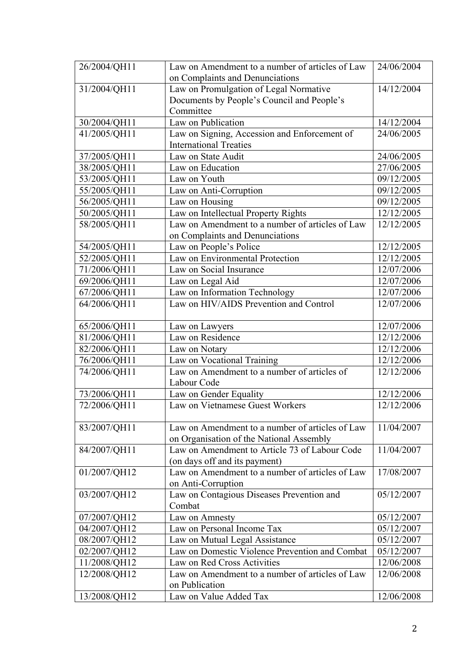| 26/2004/QH11 | Law on Amendment to a number of articles of Law | 24/06/2004 |
|--------------|-------------------------------------------------|------------|
|              | on Complaints and Denunciations                 |            |
| 31/2004/QH11 | Law on Promulgation of Legal Normative          | 14/12/2004 |
|              | Documents by People's Council and People's      |            |
|              | Committee                                       |            |
| 30/2004/QH11 | Law on Publication                              | 14/12/2004 |
| 41/2005/QH11 | Law on Signing, Accession and Enforcement of    | 24/06/2005 |
|              | <b>International Treaties</b>                   |            |
| 37/2005/QH11 | Law on State Audit                              | 24/06/2005 |
| 38/2005/QH11 | Law on Education                                | 27/06/2005 |
| 53/2005/QH11 | Law on Youth                                    | 09/12/2005 |
| 55/2005/QH11 | Law on Anti-Corruption                          | 09/12/2005 |
| 56/2005/QH11 | Law on Housing                                  | 09/12/2005 |
| 50/2005/QH11 | Law on Intellectual Property Rights             | 12/12/2005 |
| 58/2005/QH11 | Law on Amendment to a number of articles of Law | 12/12/2005 |
|              | on Complaints and Denunciations                 |            |
| 54/2005/QH11 | Law on People's Police                          | 12/12/2005 |
| 52/2005/QH11 | Law on Environmental Protection                 | 12/12/2005 |
| 71/2006/QH11 | Law on Social Insurance                         | 12/07/2006 |
| 69/2006/QH11 | Law on Legal Aid                                | 12/07/2006 |
| 67/2006/QH11 | Law on Information Technology                   | 12/07/2006 |
| 64/2006/QH11 | Law on HIV/AIDS Prevention and Control          | 12/07/2006 |
|              |                                                 |            |
| 65/2006/QH11 | Law on Lawyers                                  | 12/07/2006 |
| 81/2006/QH11 | Law on Residence                                | 12/12/2006 |
| 82/2006/QH11 | Law on Notary                                   | 12/12/2006 |
| 76/2006/QH11 | Law on Vocational Training                      | 12/12/2006 |
| 74/2006/QH11 | Law on Amendment to a number of articles of     | 12/12/2006 |
|              | Labour Code                                     |            |
| 73/2006/QH11 | Law on Gender Equality                          | 12/12/2006 |
| 72/2006/QH11 | Law on Vietnamese Guest Workers                 | 12/12/2006 |
|              |                                                 |            |
| 83/2007/QH11 | Law on Amendment to a number of articles of Law | 11/04/2007 |
|              | on Organisation of the National Assembly        |            |
| 84/2007/QH11 | Law on Amendment to Article 73 of Labour Code   | 11/04/2007 |
|              | (on days off and its payment)                   |            |
| 01/2007/QH12 | Law on Amendment to a number of articles of Law | 17/08/2007 |
|              | on Anti-Corruption                              |            |
| 03/2007/QH12 | Law on Contagious Diseases Prevention and       | 05/12/2007 |
|              | Combat                                          |            |
| 07/2007/QH12 | Law on Amnesty                                  | 05/12/2007 |
| 04/2007/QH12 | Law on Personal Income Tax                      | 05/12/2007 |
| 08/2007/QH12 | Law on Mutual Legal Assistance                  | 05/12/2007 |
| 02/2007/QH12 | Law on Domestic Violence Prevention and Combat  | 05/12/2007 |
| 11/2008/QH12 | Law on Red Cross Activities                     | 12/06/2008 |
| 12/2008/QH12 | Law on Amendment to a number of articles of Law | 12/06/2008 |
|              | on Publication                                  |            |
| 13/2008/QH12 | Law on Value Added Tax                          | 12/06/2008 |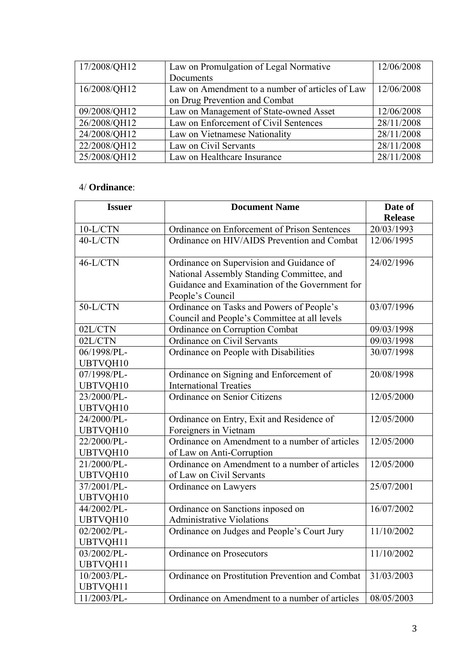| 17/2008/QH12 | Law on Promulgation of Legal Normative          | 12/06/2008 |
|--------------|-------------------------------------------------|------------|
|              | Documents                                       |            |
| 16/2008/QH12 | Law on Amendment to a number of articles of Law | 12/06/2008 |
|              | on Drug Prevention and Combat                   |            |
| 09/2008/QH12 | Law on Management of State-owned Asset          | 12/06/2008 |
| 26/2008/QH12 | Law on Enforcement of Civil Sentences           | 28/11/2008 |
| 24/2008/QH12 | Law on Vietnamese Nationality                   | 28/11/2008 |
| 22/2008/QH12 | Law on Civil Servants                           | 28/11/2008 |
| 25/2008/QH12 | Law on Healthcare Insurance                     | 28/11/2008 |

#### 4/ **Ordinance**:

| <b>Issuer</b>   | <b>Document Name</b>                                               | Date of        |
|-----------------|--------------------------------------------------------------------|----------------|
|                 |                                                                    | <b>Release</b> |
| $10-L/CTN$      | Ordinance on Enforcement of Prison Sentences                       | 20/03/1993     |
| 40-L/CTN        | Ordinance on HIV/AIDS Prevention and Combat                        | 12/06/1995     |
| $46-L/CTN$      | Ordinance on Supervision and Guidance of                           | 24/02/1996     |
|                 | National Assembly Standing Committee, and                          |                |
|                 | Guidance and Examination of the Government for<br>People's Council |                |
| $50-L/CTN$      | Ordinance on Tasks and Powers of People's                          | 03/07/1996     |
|                 | Council and People's Committee at all levels                       |                |
| 02L/CTN         | Ordinance on Corruption Combat                                     | 09/03/1998     |
| 02L/CTN         | Ordinance on Civil Servants                                        | 09/03/1998     |
| 06/1998/PL-     | Ordinance on People with Disabilities                              | 30/07/1998     |
| UBTVQH10        |                                                                    |                |
| 07/1998/PL-     | Ordinance on Signing and Enforcement of                            | 20/08/1998     |
| UBTVQH10        | <b>International Treaties</b>                                      |                |
| 23/2000/PL-     | Ordinance on Senior Citizens                                       | 12/05/2000     |
| UBTVQH10        |                                                                    |                |
| 24/2000/PL-     | Ordinance on Entry, Exit and Residence of                          | 12/05/2000     |
| UBTVQH10        | Foreigners in Vietnam                                              |                |
| 22/2000/PL-     | Ordinance on Amendment to a number of articles                     | 12/05/2000     |
| UBTVQH10        | of Law on Anti-Corruption                                          |                |
| 21/2000/PL-     | Ordinance on Amendment to a number of articles                     | 12/05/2000     |
| UBTVQH10        | of Law on Civil Servants                                           |                |
| 37/2001/PL-     | Ordinance on Lawyers                                               | 25/07/2001     |
| UBTVQH10        |                                                                    |                |
| 44/2002/PL-     | Ordinance on Sanctions inposed on                                  | 16/07/2002     |
| UBTVQH10        | <b>Administrative Violations</b>                                   |                |
| 02/2002/PL-     | Ordinance on Judges and People's Court Jury                        | 11/10/2002     |
| UBTVQH11        |                                                                    |                |
| 03/2002/PL-     | Ordinance on Prosecutors                                           | 11/10/2002     |
| <b>UBTVQH11</b> |                                                                    |                |
| 10/2003/PL-     | Ordinance on Prostitution Prevention and Combat                    | 31/03/2003     |
| UBTVQH11        |                                                                    |                |
| 11/2003/PL-     | Ordinance on Amendment to a number of articles                     | 08/05/2003     |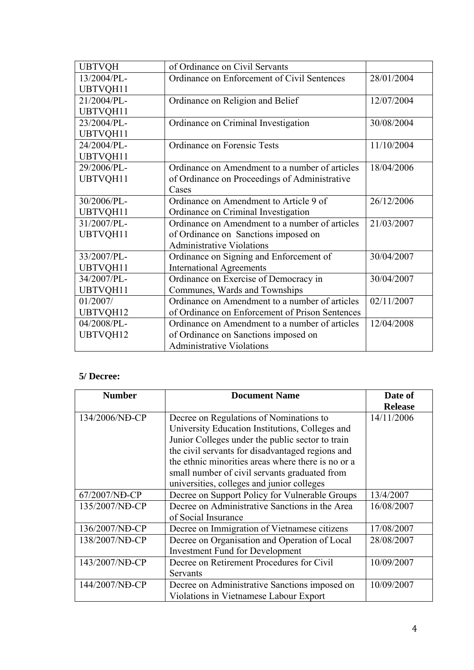| <b>UBTVQH</b> | of Ordinance on Civil Servants                  |            |
|---------------|-------------------------------------------------|------------|
| 13/2004/PL-   | Ordinance on Enforcement of Civil Sentences     | 28/01/2004 |
| UBTVQH11      |                                                 |            |
| 21/2004/PL-   | Ordinance on Religion and Belief                | 12/07/2004 |
| UBTVQH11      |                                                 |            |
| 23/2004/PL-   | Ordinance on Criminal Investigation             | 30/08/2004 |
| UBTVQH11      |                                                 |            |
| 24/2004/PL-   | Ordinance on Forensic Tests                     | 11/10/2004 |
| UBTVQH11      |                                                 |            |
| 29/2006/PL-   | Ordinance on Amendment to a number of articles  | 18/04/2006 |
| UBTVQH11      | of Ordinance on Proceedings of Administrative   |            |
|               | Cases                                           |            |
| 30/2006/PL-   | Ordinance on Amendment to Article 9 of          | 26/12/2006 |
| UBTVQH11      | Ordinance on Criminal Investigation             |            |
| 31/2007/PL-   | Ordinance on Amendment to a number of articles  | 21/03/2007 |
| UBTVQH11      | of Ordinance on Sanctions imposed on            |            |
|               | <b>Administrative Violations</b>                |            |
| 33/2007/PL-   | Ordinance on Signing and Enforcement of         | 30/04/2007 |
| UBTVQH11      | <b>International Agreements</b>                 |            |
| 34/2007/PL-   | Ordinance on Exercise of Democracy in           | 30/04/2007 |
| UBTVQH11      | Communes, Wards and Townships                   |            |
| 01/2007/      | Ordinance on Amendment to a number of articles  | 02/11/2007 |
| UBTVQH12      | of Ordinance on Enforcement of Prison Sentences |            |
| 04/2008/PL-   | Ordinance on Amendment to a number of articles  | 12/04/2008 |
| UBTVQH12      | of Ordinance on Sanctions imposed on            |            |
|               | <b>Administrative Violations</b>                |            |

## **5/ Decree:**

| <b>Number</b>  | <b>Document Name</b>                               | Date of        |
|----------------|----------------------------------------------------|----------------|
|                |                                                    | <b>Release</b> |
| 134/2006/NĐ-CP | Decree on Regulations of Nominations to            | 14/11/2006     |
|                | University Education Institutions, Colleges and    |                |
|                | Junior Colleges under the public sector to train   |                |
|                | the civil servants for disadvantaged regions and   |                |
|                | the ethnic minorities areas where there is no or a |                |
|                | small number of civil servants graduated from      |                |
|                | universities, colleges and junior colleges         |                |
| 67/2007/NĐ-CP  | Decree on Support Policy for Vulnerable Groups     | 13/4/2007      |
| 135/2007/ND-CP | Decree on Administrative Sanctions in the Area     | 16/08/2007     |
|                | of Social Insurance                                |                |
| 136/2007/NĐ-CP | Decree on Immigration of Vietnamese citizens       | 17/08/2007     |
| 138/2007/NĐ-CP | Decree on Organisation and Operation of Local      | 28/08/2007     |
|                | <b>Investment Fund for Development</b>             |                |
| 143/2007/NĐ-CP | Decree on Retirement Procedures for Civil          | 10/09/2007     |
|                | Servants                                           |                |
| 144/2007/ND-CP | Decree on Administrative Sanctions imposed on      | 10/09/2007     |
|                | Violations in Vietnamese Labour Export             |                |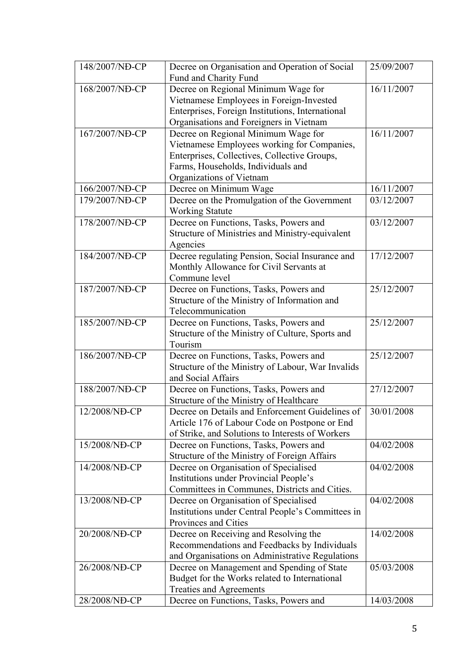| 148/2007/NĐ-CP | Decree on Organisation and Operation of Social    | 25/09/2007 |
|----------------|---------------------------------------------------|------------|
|                | Fund and Charity Fund                             |            |
| 168/2007/NĐ-CP | Decree on Regional Minimum Wage for               | 16/11/2007 |
|                | Vietnamese Employees in Foreign-Invested          |            |
|                | Enterprises, Foreign Institutions, International  |            |
|                | Organisations and Foreigners in Vietnam           |            |
| 167/2007/NĐ-CP | Decree on Regional Minimum Wage for               | 16/11/2007 |
|                | Vietnamese Employees working for Companies,       |            |
|                | Enterprises, Collectives, Collective Groups,      |            |
|                | Farms, Households, Individuals and                |            |
|                | Organizations of Vietnam                          |            |
| 166/2007/ND-CP | Decree on Minimum Wage                            | 16/11/2007 |
| 179/2007/ND-CP | Decree on the Promulgation of the Government      | 03/12/2007 |
|                | <b>Working Statute</b>                            |            |
| 178/2007/NĐ-CP | Decree on Functions, Tasks, Powers and            | 03/12/2007 |
|                | Structure of Ministries and Ministry-equivalent   |            |
|                | Agencies                                          |            |
| 184/2007/NĐ-CP | Decree regulating Pension, Social Insurance and   | 17/12/2007 |
|                | Monthly Allowance for Civil Servants at           |            |
|                | Commune level                                     |            |
| 187/2007/NĐ-CP | Decree on Functions, Tasks, Powers and            | 25/12/2007 |
|                | Structure of the Ministry of Information and      |            |
|                | Telecommunication                                 |            |
| 185/2007/ND-CP | Decree on Functions, Tasks, Powers and            | 25/12/2007 |
|                | Structure of the Ministry of Culture, Sports and  |            |
|                | Tourism                                           |            |
| 186/2007/NĐ-CP | Decree on Functions, Tasks, Powers and            | 25/12/2007 |
|                | Structure of the Ministry of Labour, War Invalids |            |
|                | and Social Affairs                                |            |
| 188/2007/NĐ-CP | Decree on Functions, Tasks, Powers and            | 27/12/2007 |
|                | Structure of the Ministry of Healthcare           |            |
| 12/2008/NĐ-CP  | Decree on Details and Enforcement Guidelines of   | 30/01/2008 |
|                | Article 176 of Labour Code on Postpone or End     |            |
|                | of Strike, and Solutions to Interests of Workers  |            |
| 15/2008/NĐ-CP  | Decree on Functions, Tasks, Powers and            | 04/02/2008 |
|                | Structure of the Ministry of Foreign Affairs      |            |
| 14/2008/NĐ-CP  | Decree on Organisation of Specialised             | 04/02/2008 |
|                | Institutions under Provincial People's            |            |
|                | Committees in Communes, Districts and Cities.     |            |
| 13/2008/NĐ-CP  | Decree on Organisation of Specialised             | 04/02/2008 |
|                | Institutions under Central People's Committees in |            |
|                | Provinces and Cities                              |            |
| 20/2008/NĐ-CP  | Decree on Receiving and Resolving the             | 14/02/2008 |
|                | Recommendations and Feedbacks by Individuals      |            |
|                | and Organisations on Administrative Regulations   |            |
| 26/2008/NĐ-CP  | Decree on Management and Spending of State        | 05/03/2008 |
|                | Budget for the Works related to International     |            |
|                | <b>Treaties and Agreements</b>                    |            |
| 28/2008/NĐ-CP  | Decree on Functions, Tasks, Powers and            | 14/03/2008 |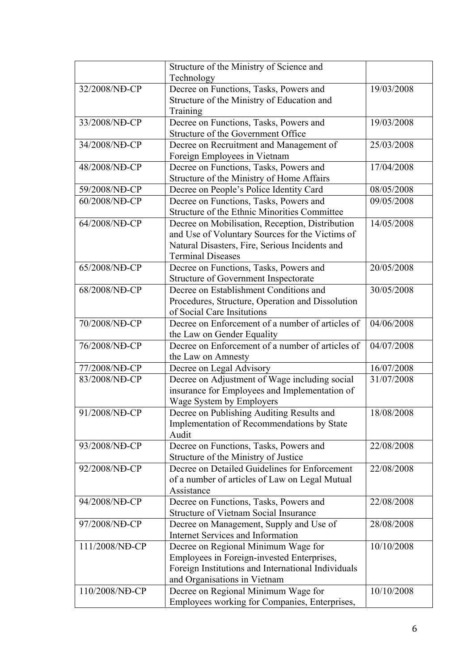|                | Structure of the Ministry of Science and                                       |            |
|----------------|--------------------------------------------------------------------------------|------------|
|                | Technology                                                                     |            |
| 32/2008/NĐ-CP  | Decree on Functions, Tasks, Powers and                                         | 19/03/2008 |
|                | Structure of the Ministry of Education and                                     |            |
|                | Training                                                                       |            |
| 33/2008/NĐ-CP  | Decree on Functions, Tasks, Powers and                                         | 19/03/2008 |
|                | Structure of the Government Office                                             |            |
| 34/2008/NĐ-CP  | Decree on Recruitment and Management of                                        | 25/03/2008 |
|                | Foreign Employees in Vietnam                                                   |            |
| 48/2008/NĐ-CP  | Decree on Functions, Tasks, Powers and                                         | 17/04/2008 |
|                | Structure of the Ministry of Home Affairs                                      |            |
| 59/2008/NĐ-CP  | Decree on People's Police Identity Card                                        | 08/05/2008 |
| 60/2008/NĐ-CP  | Decree on Functions, Tasks, Powers and                                         | 09/05/2008 |
|                | Structure of the Ethnic Minorities Committee                                   |            |
| 64/2008/NĐ-CP  | Decree on Mobilisation, Reception, Distribution                                | 14/05/2008 |
|                | and Use of Voluntary Sources for the Victims of                                |            |
|                | Natural Disasters, Fire, Serious Incidents and                                 |            |
|                | <b>Terminal Diseases</b>                                                       |            |
| 65/2008/NĐ-CP  | Decree on Functions, Tasks, Powers and                                         | 20/05/2008 |
|                | <b>Structure of Government Inspectorate</b>                                    |            |
| 68/2008/NĐ-CP  | Decree on Establishment Conditions and                                         | 30/05/2008 |
|                | Procedures, Structure, Operation and Dissolution<br>of Social Care Insitutions |            |
| 70/2008/ND-CP  | Decree on Enforcement of a number of articles of                               | 04/06/2008 |
|                | the Law on Gender Equality                                                     |            |
| 76/2008/NĐ-CP  | Decree on Enforcement of a number of articles of                               | 04/07/2008 |
|                | the Law on Amnesty                                                             |            |
| 77/2008/NĐ-CP  | Decree on Legal Advisory                                                       | 16/07/2008 |
| 83/2008/NĐ-CP  | Decree on Adjustment of Wage including social                                  | 31/07/2008 |
|                | insurance for Employees and Implementation of                                  |            |
|                | Wage System by Employers                                                       |            |
| 91/2008/NĐ-CP  | Decree on Publishing Auditing Results and                                      | 18/08/2008 |
|                | Implementation of Recommendations by State                                     |            |
|                | Audit                                                                          |            |
| 93/2008/NĐ-CP  | Decree on Functions, Tasks, Powers and                                         | 22/08/2008 |
|                | Structure of the Ministry of Justice                                           |            |
| 92/2008/NĐ-CP  | Decree on Detailed Guidelines for Enforcement                                  | 22/08/2008 |
|                | of a number of articles of Law on Legal Mutual                                 |            |
|                | Assistance                                                                     |            |
| 94/2008/ND-CP  | Decree on Functions, Tasks, Powers and                                         | 22/08/2008 |
|                | Structure of Vietnam Social Insurance                                          |            |
| 97/2008/NĐ-CP  | Decree on Management, Supply and Use of                                        | 28/08/2008 |
|                | <b>Internet Services and Information</b>                                       |            |
| 111/2008/ND-CP | Decree on Regional Minimum Wage for                                            | 10/10/2008 |
|                | Employees in Foreign-invested Enterprises,                                     |            |
|                | Foreign Institutions and International Individuals                             |            |
|                | and Organisations in Vietnam                                                   |            |
| 110/2008/NĐ-CP | Decree on Regional Minimum Wage for                                            | 10/10/2008 |
|                | Employees working for Companies, Enterprises,                                  |            |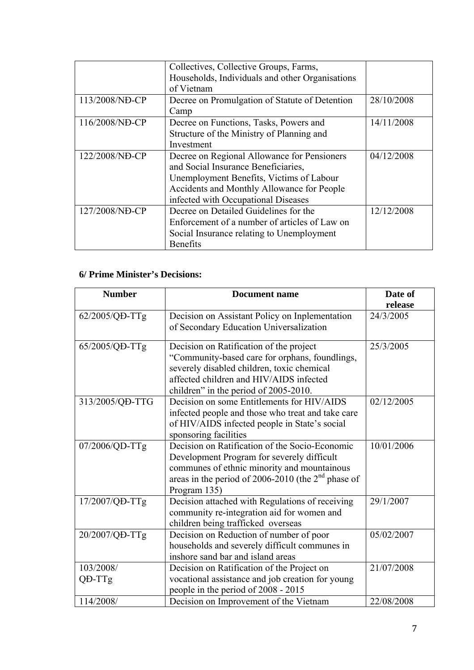|                | Collectives, Collective Groups, Farms,          |            |
|----------------|-------------------------------------------------|------------|
|                | Households, Individuals and other Organisations |            |
|                | of Vietnam                                      |            |
| 113/2008/NĐ-CP | Decree on Promulgation of Statute of Detention  | 28/10/2008 |
|                | Camp                                            |            |
| 116/2008/ND-CP | Decree on Functions, Tasks, Powers and          | 14/11/2008 |
|                | Structure of the Ministry of Planning and       |            |
|                | Investment                                      |            |
| 122/2008/ND-CP | Decree on Regional Allowance for Pensioners     | 04/12/2008 |
|                | and Social Insurance Beneficiaries,             |            |
|                | Unemployment Benefits, Victims of Labour        |            |
|                | Accidents and Monthly Allowance for People      |            |
|                | infected with Occupational Diseases             |            |
| 127/2008/NĐ-CP | Decree on Detailed Guidelines for the           | 12/12/2008 |
|                | Enforcement of a number of articles of Law on   |            |
|                | Social Insurance relating to Unemployment       |            |
|                | <b>Benefits</b>                                 |            |

## **6/ Prime Minister's Decisions:**

| <b>Number</b>   | <b>Document name</b>                                                                         | Date of    |
|-----------------|----------------------------------------------------------------------------------------------|------------|
|                 |                                                                                              | release    |
| 62/2005/QD-TTg  | Decision on Assistant Policy on Inplementation                                               | 24/3/2005  |
|                 | of Secondary Education Universalization                                                      |            |
| 65/2005/QD-TTg  | Decision on Ratification of the project                                                      | 25/3/2005  |
|                 | "Community-based care for orphans, foundlings,                                               |            |
|                 | severely disabled children, toxic chemical<br>affected children and HIV/AIDS infected        |            |
|                 | children" in the period of 2005-2010.                                                        |            |
| 313/2005/QĐ-TTG | Decision on some Entitlements for HIV/AIDS                                                   | 02/12/2005 |
|                 | infected people and those who treat and take care                                            |            |
|                 | of HIV/AIDS infected people in State's social                                                |            |
|                 | sponsoring facilities                                                                        |            |
| 07/2006/QD-TTg  | Decision on Ratification of the Socio-Economic<br>Development Program for severely difficult | 10/01/2006 |
|                 | communes of ethnic minority and mountainous                                                  |            |
|                 | areas in the period of 2006-2010 (the 2 <sup>nd</sup> phase of                               |            |
|                 | Program 135)                                                                                 |            |
| 17/2007/QD-TTg  | Decision attached with Regulations of receiving                                              | 29/1/2007  |
|                 | community re-integration aid for women and                                                   |            |
|                 | children being trafficked overseas                                                           |            |
| 20/2007/QD-TTg  | Decision on Reduction of number of poor                                                      | 05/02/2007 |
|                 | households and severely difficult communes in                                                |            |
|                 | inshore sand bar and island areas                                                            |            |
| 103/2008/       | Decision on Ratification of the Project on                                                   | 21/07/2008 |
| QĐ-TTg          | vocational assistance and job creation for young                                             |            |
|                 | people in the period of 2008 - 2015                                                          |            |
| 114/2008/       | Decision on Improvement of the Vietnam                                                       | 22/08/2008 |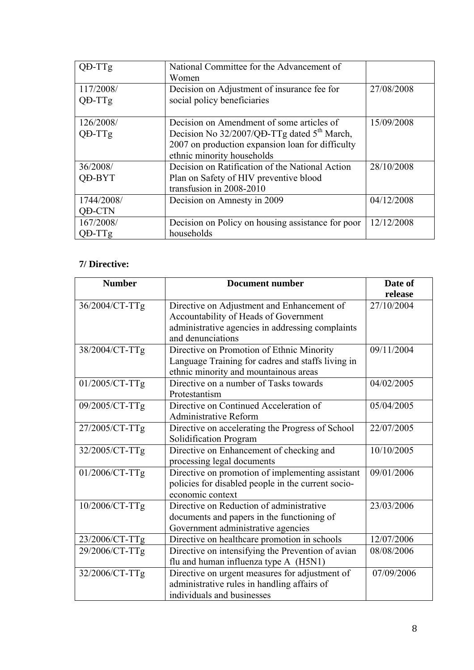| QD-TTg                      | National Committee for the Advancement of<br>Women                                                                                                                                     |            |
|-----------------------------|----------------------------------------------------------------------------------------------------------------------------------------------------------------------------------------|------------|
| 117/2008/<br>QD-TTg         | Decision on Adjustment of insurance fee for<br>social policy beneficiaries                                                                                                             | 27/08/2008 |
| 126/2008/<br>QD-TTg         | Decision on Amendment of some articles of<br>Decision No 32/2007/QĐ-TTg dated 5 <sup>th</sup> March,<br>2007 on production expansion loan for difficulty<br>ethnic minority households | 15/09/2008 |
| 36/2008/<br><b>OD-BYT</b>   | Decision on Ratification of the National Action<br>Plan on Safety of HIV preventive blood<br>transfusion in 2008-2010                                                                  | 28/10/2008 |
| 1744/2008/<br><b>QD-CTN</b> | Decision on Amnesty in 2009                                                                                                                                                            | 04/12/2008 |
| 167/2008/<br>$QD-TTg$       | Decision on Policy on housing assistance for poor<br>households                                                                                                                        | 12/12/2008 |

## **7/ Directive:**

| <b>Number</b>  | <b>Document number</b>                             | Date of    |
|----------------|----------------------------------------------------|------------|
|                |                                                    | release    |
| 36/2004/CT-TTg | Directive on Adjustment and Enhancement of         | 27/10/2004 |
|                | Accountability of Heads of Government              |            |
|                | administrative agencies in addressing complaints   |            |
|                | and denunciations                                  |            |
| 38/2004/CT-TTg | Directive on Promotion of Ethnic Minority          | 09/11/2004 |
|                | Language Training for cadres and staffs living in  |            |
|                | ethnic minority and mountainous areas              |            |
| 01/2005/CT-TTg | Directive on a number of Tasks towards             | 04/02/2005 |
|                | Protestantism                                      |            |
| 09/2005/CT-TTg | Directive on Continued Acceleration of             | 05/04/2005 |
|                | <b>Administrative Reform</b>                       |            |
| 27/2005/CT-TTg | Directive on accelerating the Progress of School   | 22/07/2005 |
|                | Solidification Program                             |            |
| 32/2005/CT-TTg | Directive on Enhancement of checking and           | 10/10/2005 |
|                | processing legal documents                         |            |
| 01/2006/CT-TTg | Directive on promotion of implementing assistant   | 09/01/2006 |
|                | policies for disabled people in the current socio- |            |
|                | economic context                                   |            |
| 10/2006/CT-TTg | Directive on Reduction of administrative           | 23/03/2006 |
|                | documents and papers in the functioning of         |            |
|                | Government administrative agencies                 |            |
| 23/2006/CT-TTg | Directive on healthcare promotion in schools       | 12/07/2006 |
| 29/2006/CT-TTg | Directive on intensifying the Prevention of avian  | 08/08/2006 |
|                | flu and human influenza type A (H5N1)              |            |
| 32/2006/CT-TTg | Directive on urgent measures for adjustment of     | 07/09/2006 |
|                | administrative rules in handling affairs of        |            |
|                | individuals and businesses                         |            |